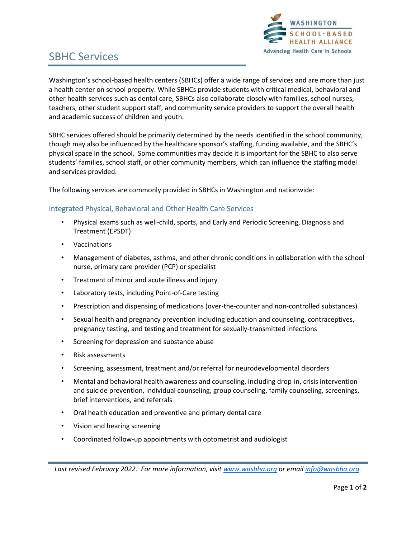

# SBHC Services

Washington's school-based health centers (SBHCs) offer a wide range of services and are more than just a health center on school property. While SBHCs provide students with critical medical, behavioral and other health services such as dental care, SBHCs also collaborate closely with families, school nurses, teachers, other student support staff, and community service providers to support the overall health and academic success of children and youth.

SBHC services offered should be primarily determined by the needs identified in the school community, though may also be influenced by the healthcare sponsor's staffing, funding available, and the SBHC's physical space in the school. Some communities may decide it is important for the SBHC to also serve students' families, school staff, or other community members, which can influence the staffing model and services provided.

The following services are commonly provided in SBHCs in Washington and nationwide:

## Integrated Physical, Behavioral and Other Health Care Services

- Physical exams such as well-child, sports, and Early and Periodic Screening, Diagnosis and Treatment (EPSDT)
- **Vaccinations**
- Management of diabetes, asthma, and other chronic conditions in collaboration with the school nurse, primary care provider (PCP) or specialist
- Treatment of minor and acute illness and injury
- Laboratory tests, including Point-of-Care testing
- Prescription and dispensing of medications (over-the-counter and non-controlled substances)
- Sexual health and pregnancy prevention including education and counseling, contraceptives, pregnancy testing, and testing and treatment for sexually-transmitted infections
- Screening for depression and substance abuse
- Risk assessments
- Screening, assessment, treatment and/or referral for neurodevelopmental disorders
- Mental and behavioral health awareness and counseling, including drop-in, crisis intervention and suicide prevention, individual counseling, group counseling, family counseling, screenings, brief interventions, and referrals
- Oral health education and preventive and primary dental care
- Vision and hearing screening
- Coordinated follow-up appointments with optometrist and audiologist

*Last revised February 2022. For more information, visi[t www.wasbha.org](http://www.wasbha.org/) or email [info@wasbha.org.](mailto:info@wasbha.org)*